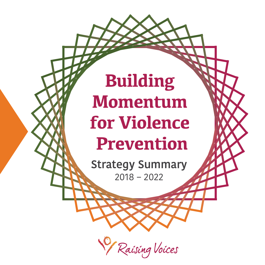### **Building Momentum for Violence Prevention**

**Strategy Summary** 2018 – 2022

Raising Voices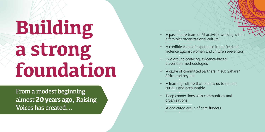# **Building a strong foundation**

From a modest beginning almost **20 years ago,** Raising Voices has created...

- A passionate team of 35 activists working within  $\cdot$ a teminist organizational culture
- A credible voice of experience in the fields of violence against women and children prevention
- Two ground-breaking, evidence-based pr e v e ntion meth odologie s
- A cadre of committed partners in sub Saharan Afri c a a n d beyon d
- $\bullet$  A learning culture that pushes us to remain curious a n d a ccoun tabl e
- $\bullet$  Deep connections with communities and orga nizatio n s
- A dedicated group of core funders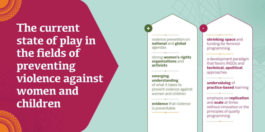**The current state of play in the fields of preventing violence against women and children** 

violence prevention on **national** and **global** agendas

**+**

strong **women's rights organizations** and **activists**

**emerging understanding** of what it takes to prevent violence against women and children

**evidence** that violence is preventable

**shrinking space** and funding for feminist programming

**-**

a development paradigm that favors INGOs and **technical, apolitical**, approaches

**undervaluing** of **practice-based** learning

emphasis on **replication** and **scale** at times without innovation or the principles of quality programming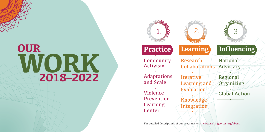### **WORK 2018–2022 OUR**



For detailed descriptions of our programs visit www.raisingvoices.org/about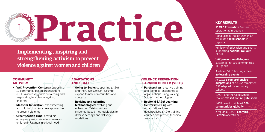### **Practice** 1.

**Implementing, inspiring** and **strengthening activism** to prevent violence against women and children

### **COMMUNITY** ACTIVISM

- **VAC Prevention Centers:** supporting 10 community based organizations (CBOs) across Uganda preventing and responding to violence against children
- **Ideas for Innovation:** experimenting and piloting to create new approaches to prevent violence
- **Urgent Action Fund:** providing emergency assistance to women and children in Uganda in critical need

### ADAPTATIONS AND SCALE

- **Going to Scale:** supporting *SASA!* and the *Good School Toolkit* to expand to new communities and contexts
- **Revising and Adapting Methodologies:** evolving and enhancing Raising Voices' evidence-based methodologies for diverse settings and delivery modalities

### VIOLENCE PREVENTION LEARNING CENTER (VPLC)

- **Partnerships:** creative training and technical assistance to organizations using Raising Voices' methodologies
- **Regional** *SASA!* **Learning Centers:** working with organizations to run decentralized *SASA!* training courses and provide technical assistance

### KEY RESULTS

**10 VAC Prevention** Centers operational in Uganda

Good School Toolkit used in an estimated **1000 schools** in Uganda

Ministry of Education and Sports supporting **national roll out** of GST

**VAC prevention dialogues**  sustained in 1000 communities in Uganda

A vibrant VPLC hosting at least **40 learning events** 

At least **5 comprehensive adaptations** of *SASA!* completed; GST adapted for secondary schools

*SASA!* and the Good School Toolkit **revised** and **re-published**

*SASA!* used in at least **500 communities globally** 

2 regional *SASA!* **Learning Centers** operational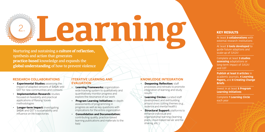## **Learning** 2. **KEY RESULTS**

Nurturing and sustaining a **culture of reflection,**  synthesis and action that generates **practice-based** knowledge and expands the **global understanding** of how to prevent violence

### **RESEARCH COLLABORATIONS**

- **Experimental Studies:** assessing the impact of adapted versions of *SASA!* and GST for new communities and contexts
- **Implementation Research: studies** focused on feasibility and practical applications of Raising Voices methodologies
- **Longer-term Impact:** investigating *SASA!* and GST's sustainability and influence on life trajectories

### **ITERATIVE LEARNING AND EVALUATION**

- **Learning Frameworks:** organizationwide tracking system to qualitatively and quantitatively monitor progress and explore the resonance of our work
- **Program Learning Initiatives:** in-depth assessments of programming in progress as well as key questions with implications for the entire organization
- **Consolidation and Documentation:**  contributing quality, practice-based learning publications and materials to the field

### **KNOWLEDGE INTEGRATION**

- **Deepening Reflection: staff** processes and retreats to promote integration of learning and study results
- **Learning Circles:** curated staff development and skill building around cross cutting themes (e.g., violence and mental health)
- **Structural Support:** platforms to enhance individual and organizational learning (learning plans, cloud-based server and file sharing, etc.)

At least **3 collaborations** with external research institutions

At least **3 tools developed** to guide future adaptions and scale-up of *SASA!*

Complete at least **3 studies assessing** adaptations or long-term impact of *SASA!* and GST

**Publish at least 8 articles** in academic journals, **4 Learning Papers,** and **8 Creating Change Briefs**

Invest in at least **5 Program Learning Initiatives** 

Complete **1 Learning Circle** each year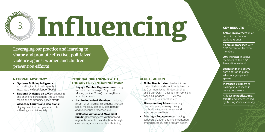

Leveraging our practice and learning to **shape** and promote effective, **politicized**  violence against women and children prevention **efforts**

### **NATIONAL ADVOCACY**

- **Systems Building in Uganda:**  supporting institutional capacity to integrate the *Good School Toolkit*
- • **National Dialogue on VAC:** challenging and changing perceptions through mass media and community-based efforts
- **Advocacy Forums and Coalitions:** playing an active and grounded role within Uganda civil society

### **REGIONAL ORGANIZING WITH THE GBV PREVENTION NETWORK**

- **Engage Member Organizations:** using Network methodologies (e.g., *Get Moving!*, *In Her Shoes*) to strengthen a feminist analysis
- **Inspire Individual Members:** nurturing a spirit of activism and solidarity through social media, Sister-to-Sister, Rethink and Reenergize processes, etc.
- **Collective Action and Movement Building:** fostering cross national and regional connections and action through campaigns, advocacy and skill building

### **GLOBAL ACTION**

- **Collective Activism: leadership and** co-facilitation of strategic initiatives such as Communities for Understanding Scale-up (CUSP), Coalition for Feminists for Social Change (COFEM), the Prevention Collaborative, etc.
- **Disseminating Ideas: elevating** practice-based learning through publications, events, reviews and advisory committees
- **Strategic Engagements:** shaping conceptualization and implementation of funding, policy and program design

**Active involvement** in at least 5 coalitions or working groups

**5 annual processes** with GBV Prevention Network members

**20% increase** in active members of the GBV Prevention Network

**Leadership** and **active**  participation in global advocacy groups and spaces

**Increased visibility** of Raising Voices ideas in policy documents

At least **10 publications**, **events** and processes led by Raising Voices annually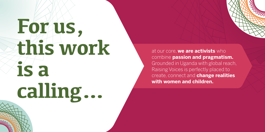# **For us, this work is a calling…**

at our core, **we are activists** who combine **passion and pragmatism.**  Grounded in Uganda with global reach, Raising Voices is perfectly placed to create, connect and **change realities with women and children.**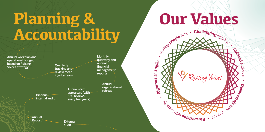### **Planning & Accountability**

Annual workplan and operational budget based on Raising Voices strategy

**Ouarterly** tracking and review meetings by team

Monthly, quarterly and annual financial management reports

Annual organizational Annual staff entitled and original

appraisals (with 360 reviews every two years) internal audit

Annual

Biannual

Report **External** audit

# **Our Values**

Recople first . Challenging injustice.

P Raising Voices

**h** d**usplements** 

 $\omega_{\! \nu}$ 

ilti y • **R**

**gi**

**orou s**

ო  $\mathbf{\Xi}$ d

**agile**

**•**

activis m

•

**Del bi**

**erate yl**

euolizas-laivi